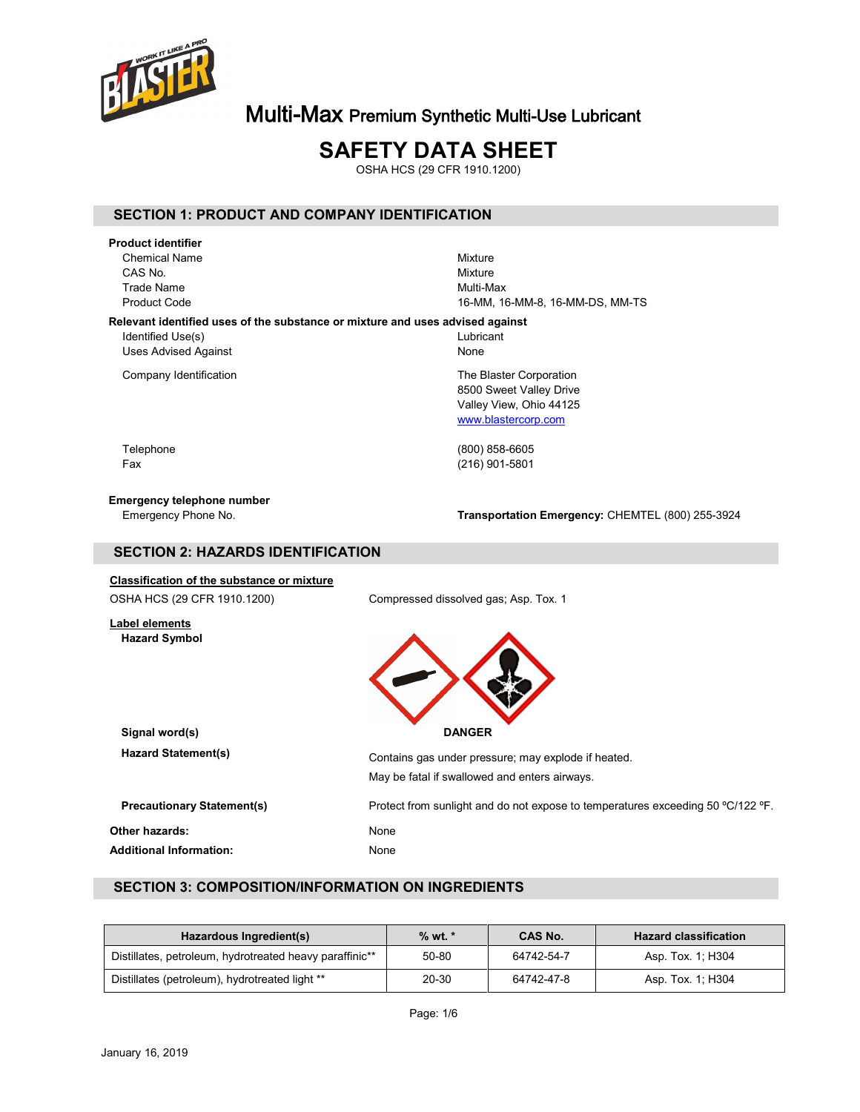

# **SAFETY DATA SHEET**

OSHA HCS (29 CFR 1910.1200)

## **SECTION 1: PRODUCT AND COMPANY IDENTIFICATION**

**Product identifier** Chemical Name Mixture CAS No.<br>
CAS No. Mixture CAS No. **Mixture** Trade Name **Multi-Max**<br>Product Code **Multi-Max** 

16-MM, 16-MM-8, 16-MM-DS, MM-TS

### **Relevant identified uses of the substance or mixture and uses advised against**

Identified Use(s) and the contract of the contract of the contract of the contract of the contract of the contract of the contract of the contract of the contract of the contract of the contract of the contract of the cont Uses Advised Against None

Company Identification **The Blaster Corporation** The Blaster Corporation

8500 Sweet Valley Drive Valley View, Ohio 44125 [www.blastercorp.com](http://www.blastercorp.com/)

Telephone (800) 858-6605 Fax (216) 901-5801

## **Emergency telephone number**

Emergency Phone No. **Transportation Emergency:** CHEMTEL (800) 255-3924

## **SECTION 2: HAZARDS IDENTIFICATION**

# **Classification of the substance or mixture**

OSHA HCS (29 CFR 1910.1200) Compressed dissolved gas; Asp. Tox. 1

### **Label elements Hazard Symbol**

**Signal word(s) DANGER**

| <b>Hazard Statement(s)</b>                       | Contains gas under pressure; may explode if heated.<br>May be fatal if swallowed and enters airways. |
|--------------------------------------------------|------------------------------------------------------------------------------------------------------|
| <b>Precautionary Statement(s)</b>                | Protect from sunlight and do not expose to temperatures exceeding 50 °C/122 °F.                      |
| Other hazards:<br><b>Additional Information:</b> | None<br>None                                                                                         |

## **SECTION 3: COMPOSITION/INFORMATION ON INGREDIENTS**

| Hazardous Ingredient(s)                                             | $%$ wt. $*$ | <b>CAS No.</b> | <b>Hazard classification</b> |
|---------------------------------------------------------------------|-------------|----------------|------------------------------|
| Distillates, petroleum, hydrotreated heavy paraffinic <sup>**</sup> | 50-80       | 64742-54-7     | Asp. Tox. 1; H304            |
| Distillates (petroleum), hydrotreated light **                      | 20-30       | 64742-47-8     | Asp. Tox. 1: H304            |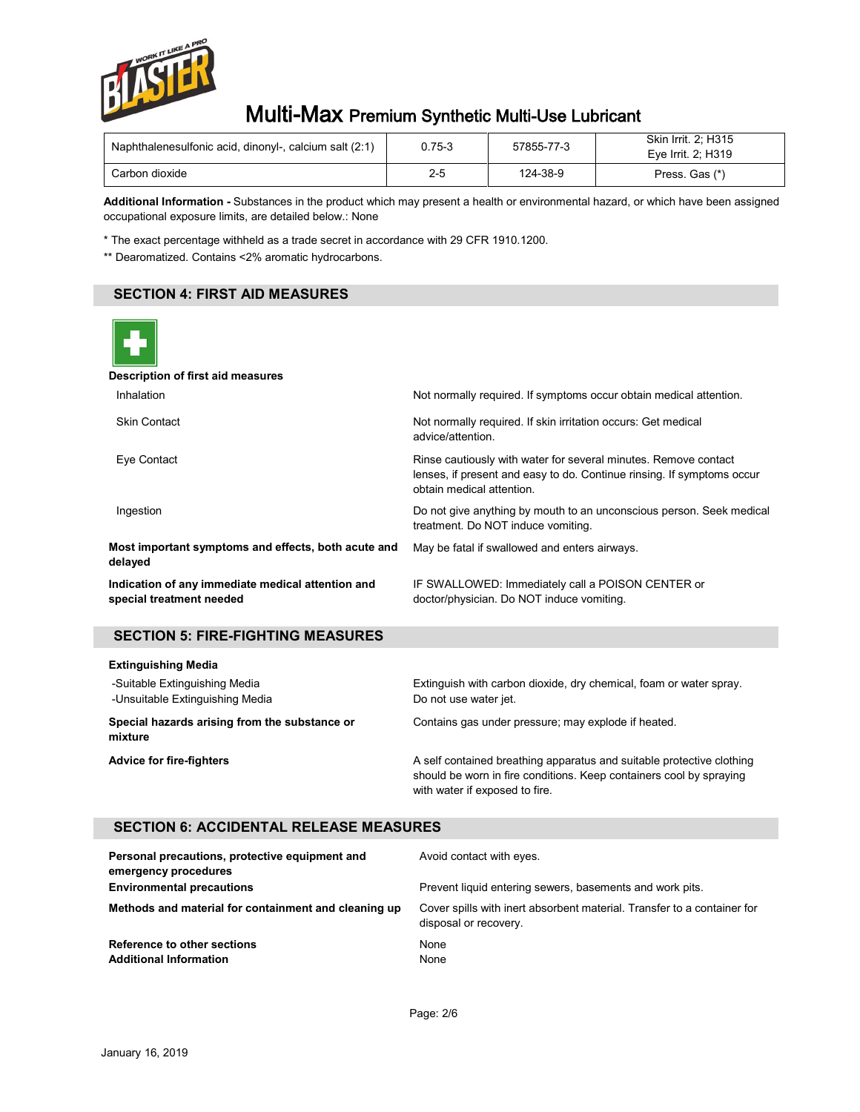

| Naphthalenesulfonic acid, dinonyl-, calcium salt (2:1) | 0.75-3  | 57855-77-3 | <b>Skin Irrit. 2: H315</b><br>Eve Irrit, 2: H319 |
|--------------------------------------------------------|---------|------------|--------------------------------------------------|
| Carbon dioxide                                         | $2 - 5$ | 124-38-9   | Press. Gas (*)                                   |

**Additional Information -** Substances in the product which may present a health or environmental hazard, or which have been assigned occupational exposure limits, are detailed below.: None

\* The exact percentage withheld as a trade secret in accordance with 29 CFR 1910.1200.

\*\* Dearomatized. Contains <2% aromatic hydrocarbons.

# **SECTION 4: FIRST AID MEASURES**



#### **Description of first aid measures**

| Inhalation                                                                    | Not normally required. If symptoms occur obtain medical attention.                                                                                                     |
|-------------------------------------------------------------------------------|------------------------------------------------------------------------------------------------------------------------------------------------------------------------|
| <b>Skin Contact</b>                                                           | Not normally required. If skin irritation occurs: Get medical<br>advice/attention.                                                                                     |
| Eye Contact                                                                   | Rinse cautiously with water for several minutes. Remove contact<br>lenses, if present and easy to do. Continue rinsing. If symptoms occur<br>obtain medical attention. |
| Ingestion                                                                     | Do not give anything by mouth to an unconscious person. Seek medical<br>treatment. Do NOT induce vomiting.                                                             |
| Most important symptoms and effects, both acute and<br>delayed                | May be fatal if swallowed and enters airways.                                                                                                                          |
| Indication of any immediate medical attention and<br>special treatment needed | IF SWALLOWED: Immediately call a POISON CENTER or<br>doctor/physician. Do NOT induce vomiting.                                                                         |

# **SECTION 5: FIRE-FIGHTING MEASURES**

| <b>Extinguishing Media</b>                                       |                                                                                                                                                                                |  |  |
|------------------------------------------------------------------|--------------------------------------------------------------------------------------------------------------------------------------------------------------------------------|--|--|
| -Suitable Extinguishing Media<br>-Unsuitable Extinguishing Media | Extinguish with carbon dioxide, dry chemical, foam or water spray.<br>Do not use water jet.                                                                                    |  |  |
| Special hazards arising from the substance or<br>mixture         | Contains gas under pressure; may explode if heated.                                                                                                                            |  |  |
| <b>Advice for fire-fighters</b>                                  | A self contained breathing apparatus and suitable protective clothing<br>should be worn in fire conditions. Keep containers cool by spraying<br>with water if exposed to fire. |  |  |

# **SECTION 6: ACCIDENTAL RELEASE MEASURES**

| Personal precautions, protective equipment and<br>emergency procedures | Avoid contact with eyes.                                                                         |
|------------------------------------------------------------------------|--------------------------------------------------------------------------------------------------|
| <b>Environmental precautions</b>                                       | Prevent liquid entering sewers, basements and work pits.                                         |
| Methods and material for containment and cleaning up                   | Cover spills with inert absorbent material. Transfer to a container for<br>disposal or recovery. |
| Reference to other sections<br><b>Additional Information</b>           | None<br>None                                                                                     |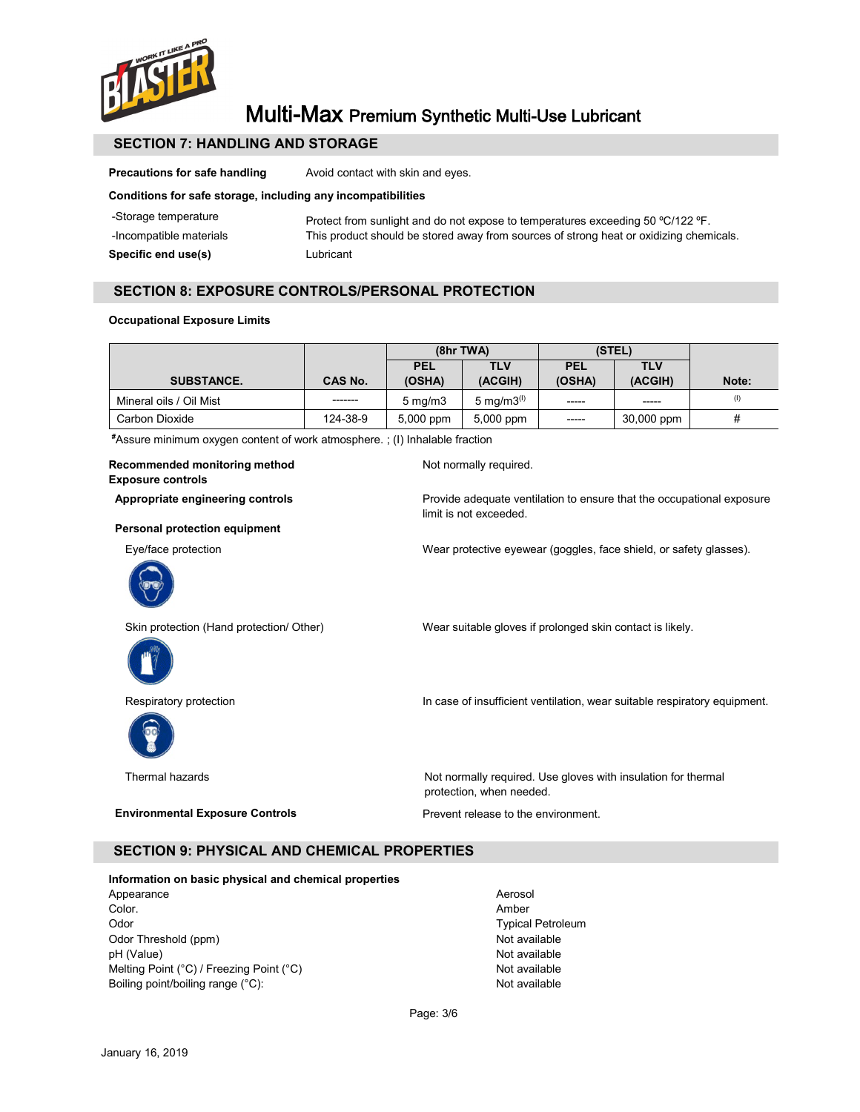

# **SECTION 7: HANDLING AND STORAGE**

**Precautions for safe handling** Avoid contact with skin and eyes.

### **Conditions for safe storage, including any incompatibilities**

| Specific end use(s)     | Lubricant                                                                              |
|-------------------------|----------------------------------------------------------------------------------------|
| -Incompatible materials | This product should be stored away from sources of strong heat or oxidizing chemicals. |
| -Storage temperature    | Protect from sunlight and do not expose to temperatures exceeding 50 °C/122 °F.        |

## **SECTION 8: EXPOSURE CONTROLS/PERSONAL PROTECTION**

### **Occupational Exposure Limits**

|                         |          | $(8hr\,TWA)$         |                  | (STEL)               |                       |       |
|-------------------------|----------|----------------------|------------------|----------------------|-----------------------|-------|
| <b>SUBSTANCE.</b>       | CAS No.  | <b>PEL</b><br>(OSHA) | TLV<br>(ACGIH)   | <b>PEL</b><br>(OSHA) | <b>TLV</b><br>(ACGIH) | Note: |
| Mineral oils / Oil Mist | -------- | $5 \text{ mg/m}$     | 5 mg/m $3^{(1)}$ | -----                | $- - - - -$           | (1)   |
| Carbon Dioxide          | 124-38-9 | 5,000 ppm            | 5,000 ppm        | $-----$              | 30,000 ppm            | #     |

**#** Assure minimum oxygen content of work atmosphere. ; (I) Inhalable fraction

| Recommended monitoring method<br><b>Exposure controls</b> | Not normally required.                                                                          |
|-----------------------------------------------------------|-------------------------------------------------------------------------------------------------|
| Appropriate engineering controls                          | Provide adequate ventilation to ensure that the occupational exposure<br>limit is not exceeded. |
| Personal protection equipment                             |                                                                                                 |
| Eye/face protection                                       | Wear protective eyewear (goggles, face shield, or safety glasses).                              |
| Skin protection (Hand protection/ Other)                  | Wear suitable gloves if prolonged skin contact is likely.                                       |
| Respiratory protection                                    | In case of insufficient ventilation, wear suitable respiratory equipment.                       |
| Thermal hazards                                           | Not normally required. Use gloves with insulation for thermal<br>protection, when needed.       |
| <b>Environmental Exposure Controls</b>                    | Prevent release to the environment.                                                             |

# **SECTION 9: PHYSICAL AND CHEMICAL PROPERTIES**

## **Information on basic physical and chemical properties**

Appearance Aerosol Color. Amber Odor **Typical Petroleum** Odor Threshold (ppm) <br>
Detailable bH (Value) Not available bH (Value) pH (Value)<br>
Mot available<br>
Melting Point (°C) / Freezing Point (°C)<br>
Mot available Melting Point (°C) / Freezing Point (°C)  $\blacksquare$  Not available<br>Boiling point/boiling range (°C): Not available Boiling point/boiling range (°C):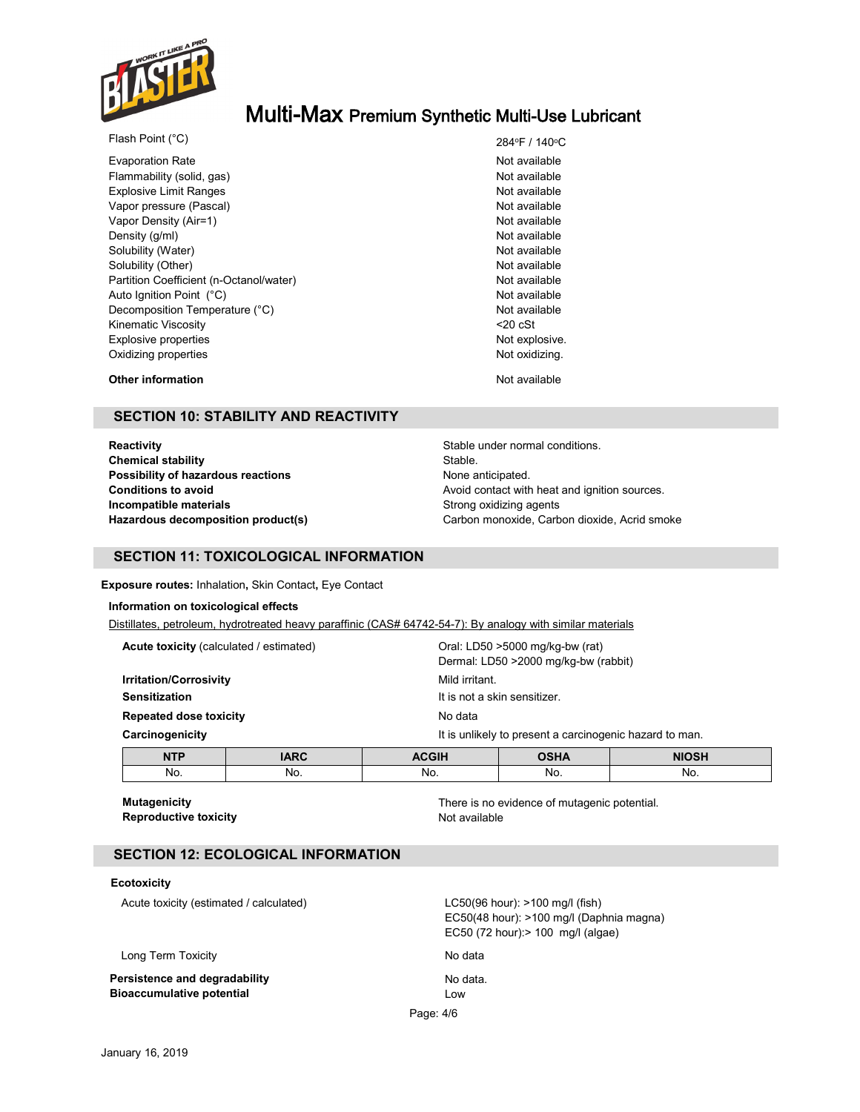

| Flash Point (°C)                        | 284°F / 140°  |
|-----------------------------------------|---------------|
| <b>Evaporation Rate</b>                 | Not available |
| Flammability (solid, gas)               | Not available |
| <b>Explosive Limit Ranges</b>           | Not available |
| Vapor pressure (Pascal)                 | Not available |
| Vapor Density (Air=1)                   | Not available |
| Density (g/ml)                          | Not available |
| Solubility (Water)                      | Not available |
| Solubility (Other)                      | Not available |
| Partition Coefficient (n-Octanol/water) | Not available |
| Auto Ignition Point (°C)                | Not available |
| Decomposition Temperature (°C)          | Not available |
| Kinematic Viscosity                     | $20$ cSt      |
| Explosive properties                    | Not explosive |
| Oxidizing properties                    | Not oxidizing |

284°F / 140°C Not available Not available Not available Not available Not available Not available Not available Not explosive. Not oxidizing.

**Other information** and **Not available** Not available

# **SECTION 10: STABILITY AND REACTIVITY**

**Reactivity Reactivity Reactivity Stable under normal conditions. Chemical stability** Stable. **Possibility of hazardous reactions None anticipated.** None anticipated. **Incompatible materials Incompatible materials Strong oxidizing agents** 

**Conditions to avoid Avoid contact with heat and ignition sources. Hazardous decomposition product(s)** Carbon monoxide, Carbon dioxide, Acrid smoke

## **SECTION 11: TOXICOLOGICAL INFORMATION**

**Exposure routes:** Inhalation**,** Skin Contact**,** Eye Contact

#### **Information on toxicological effects**

Distillates, petroleum, hydrotreated heavy paraffinic (CAS# 64742-54-7): By analogy with similar materials

| <b>Acute toxicity</b> (calculated / estimated)<br><b>Irritation/Corrosivity</b><br><b>Sensitization</b><br><b>Repeated dose toxicity</b> |     | Oral: LD50 >5000 mg/kg-bw (rat)<br>Dermal: LD50 >2000 mg/kg-bw (rabbit)<br>Mild irritant. |             |              |                                                         |                                         |  |
|------------------------------------------------------------------------------------------------------------------------------------------|-----|-------------------------------------------------------------------------------------------|-------------|--------------|---------------------------------------------------------|-----------------------------------------|--|
|                                                                                                                                          |     |                                                                                           |             |              |                                                         | It is not a skin sensitizer.<br>No data |  |
|                                                                                                                                          |     | Carcinogenicity                                                                           |             |              | It is unlikely to present a carcinogenic hazard to man. |                                         |  |
|                                                                                                                                          |     | <b>NTP</b>                                                                                | <b>IARC</b> | <b>ACGIH</b> | <b>OSHA</b>                                             | <b>NIOSH</b>                            |  |
| No.                                                                                                                                      | No. | No.                                                                                       | No.         | No.          |                                                         |                                         |  |

**Reproductive toxicity Not available** Not available

**Mutagenicity** There is no evidence of mutagenic potential.

## **SECTION 12: ECOLOGICAL INFORMATION**

### **Ecotoxicity**

Acute toxicity (estimated / calculated) LC50(96 hour): >100 mg/l (fish)

Long Term Toxicity **No data** No data

**Persistence and degradability No data.** No data. **Bioaccumulative potential Low Communication Communication Communication Communication Communication Communication Communication Communication Communication Communication Communication Communication Communication Communica** 

Page: 4/6 EC50(48 hour): >100 mg/l (Daphnia magna) EC50 (72 hour):> 100 mg/l (algae)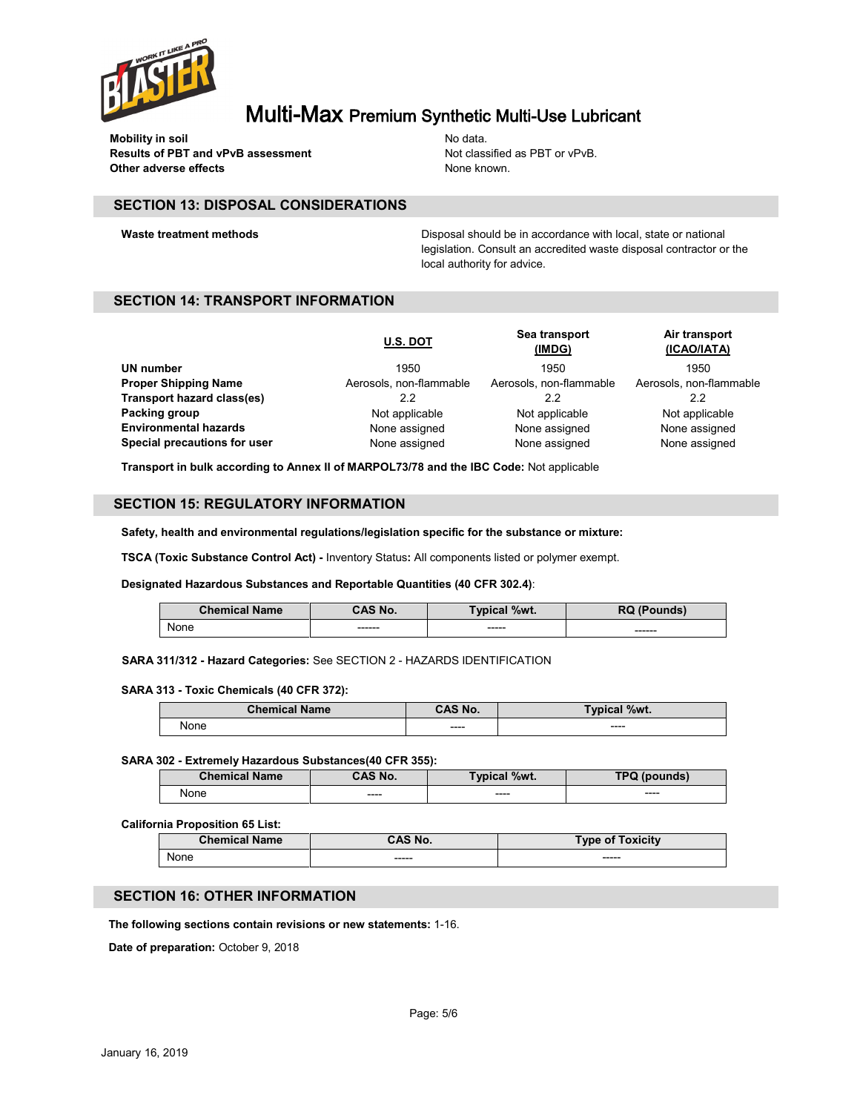

**Mobility in soil** No data. **Results of PBT and vPvB assessment** Not classified as PBT or vPvB. **Other adverse effects** None known.

## **SECTION 13: DISPOSAL CONSIDERATIONS**

**Waste treatment methods Disposal should be in accordance with local, state or national** legislation. Consult an accredited waste disposal contractor or the local authority for advice.

## **SECTION 14: TRANSPORT INFORMATION**

|                              | <b>U.S. DOT</b>         | Sea transport<br>(IMDG) | Air transport<br>(ICAO/IATA) |
|------------------------------|-------------------------|-------------------------|------------------------------|
| UN number                    | 1950                    | 1950                    | 1950                         |
| <b>Proper Shipping Name</b>  | Aerosols, non-flammable | Aerosols, non-flammable | Aerosols, non-flammable      |
| Transport hazard class(es)   | 2.2                     | 2.2                     | 2.2                          |
| Packing group                | Not applicable          | Not applicable          | Not applicable               |
| <b>Environmental hazards</b> | None assigned           | None assigned           | None assigned                |
| Special precautions for user | None assigned           | None assigned           | None assigned                |

**Transport in bulk according to Annex II of MARPOL73/78 and the IBC Code:** Not applicable

## **SECTION 15: REGULATORY INFORMATION**

**Safety, health and environmental regulations/legislation specific for the substance or mixture:**

**TSCA (Toxic Substance Control Act) -** Inventory Status**:** All components listed or polymer exempt.

#### **Designated Hazardous Substances and Reportable Quantities (40 CFR 302.4)**:

| <b>Chemical Name</b> | CAS No. | Typical %wt. | <b>RQ (Pounds)</b> |
|----------------------|---------|--------------|--------------------|
| None                 | ------- | ------       | ------             |

**SARA 311/312 - Hazard Categories:** See SECTION 2 - HAZARDS IDENTIFICATION

#### **SARA 313 - Toxic Chemicals (40 CFR 372):**

| <b>Chemical Name</b> | <b>CAS No.</b> | <b>Typical %wt.</b> |
|----------------------|----------------|---------------------|
| None                 | ----           | $---$               |

#### **SARA 302 - Extremely Hazardous Substances(40 CFR 355):**

| <b>Chemical Name</b> | <b>CAS No.</b> | <b>Typical %wt.</b> | TPQ (pounds) |
|----------------------|----------------|---------------------|--------------|
| None                 | $---$          | ----                | $---$        |

#### **California Proposition 65 List:**

| <b>Chemical Name</b> | CAS No.     | <b>Type of Toxicity</b> |
|----------------------|-------------|-------------------------|
| None                 | $- - - - -$ | $- - - - -$             |

## **SECTION 16: OTHER INFORMATION**

**The following sections contain revisions or new statements:** 1-16.

**Date of preparation:** October 9, 2018